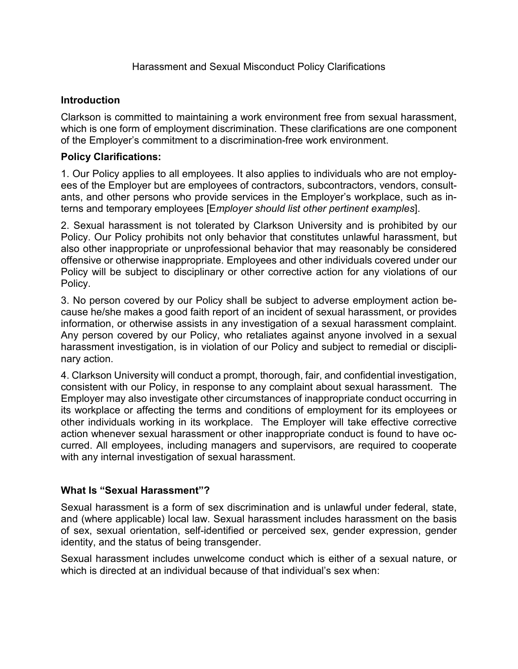## **Introduction**

Clarkson is committed to maintaining a work environment free from sexual harassment, which is one form of employment discrimination. These clarifications are one component of the Employer's commitment to a discrimination-free work environment.

## **Policy Clarifications:**

1. Our Policy applies to all employees. It also applies to individuals who are not employees of the Employer but are employees of contractors, subcontractors, vendors, consultants, and other persons who provide services in the Employer's workplace, such as interns and temporary employees [E*mployer should list other pertinent examples*].

2. Sexual harassment is not tolerated by Clarkson University and is prohibited by our Policy. Our Policy prohibits not only behavior that constitutes unlawful harassment, but also other inappropriate or unprofessional behavior that may reasonably be considered offensive or otherwise inappropriate. Employees and other individuals covered under our Policy will be subject to disciplinary or other corrective action for any violations of our Policy.

3. No person covered by our Policy shall be subject to adverse employment action because he/she makes a good faith report of an incident of sexual harassment, or provides information, or otherwise assists in any investigation of a sexual harassment complaint. Any person covered by our Policy, who retaliates against anyone involved in a sexual harassment investigation, is in violation of our Policy and subject to remedial or disciplinary action.

4. Clarkson University will conduct a prompt, thorough, fair, and confidential investigation, consistent with our Policy, in response to any complaint about sexual harassment. The Employer may also investigate other circumstances of inappropriate conduct occurring in its workplace or affecting the terms and conditions of employment for its employees or other individuals working in its workplace. The Employer will take effective corrective action whenever sexual harassment or other inappropriate conduct is found to have occurred. All employees, including managers and supervisors, are required to cooperate with any internal investigation of sexual harassment.

# **What Is "Sexual Harassment"?**

Sexual harassment is a form of sex discrimination and is unlawful under federal, state, and (where applicable) local law. Sexual harassment includes harassment on the basis of sex, sexual orientation, self-identified or perceived sex, gender expression, gender identity, and the status of being transgender.

Sexual harassment includes unwelcome conduct which is either of a sexual nature, or which is directed at an individual because of that individual's sex when: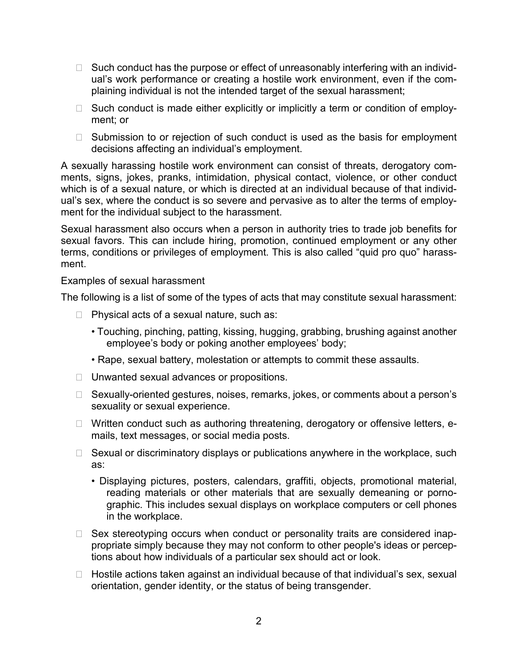- $\Box$  Such conduct has the purpose or effect of unreasonably interfering with an individual's work performance or creating a hostile work environment, even if the complaining individual is not the intended target of the sexual harassment;
- $\Box$  Such conduct is made either explicitly or implicitly a term or condition of employment; or
- $\Box$  Submission to or rejection of such conduct is used as the basis for employment decisions affecting an individual's employment.

A sexually harassing hostile work environment can consist of threats, derogatory comments, signs, jokes, pranks, intimidation, physical contact, violence, or other conduct which is of a sexual nature, or which is directed at an individual because of that individual's sex, where the conduct is so severe and pervasive as to alter the terms of employment for the individual subject to the harassment.

Sexual harassment also occurs when a person in authority tries to trade job benefits for sexual favors. This can include hiring, promotion, continued employment or any other terms, conditions or privileges of employment. This is also called "quid pro quo" harassment.

Examples of sexual harassment

The following is a list of some of the types of acts that may constitute sexual harassment:

- □ Physical acts of a sexual nature, such as:
	- Touching, pinching, patting, kissing, hugging, grabbing, brushing against another employee's body or poking another employees' body;
	- Rape, sexual battery, molestation or attempts to commit these assaults.
- □ Unwanted sexual advances or propositions.
- □ Sexually-oriented gestures, noises, remarks, jokes, or comments about a person's sexuality or sexual experience.
- □ Written conduct such as authoring threatening, derogatory or offensive letters, emails, text messages, or social media posts.
- $\Box$  Sexual or discriminatory displays or publications anywhere in the workplace, such as:
	- Displaying pictures, posters, calendars, graffiti, objects, promotional material, reading materials or other materials that are sexually demeaning or pornographic. This includes sexual displays on workplace computers or cell phones in the workplace.
- □ Sex stereotyping occurs when conduct or personality traits are considered inappropriate simply because they may not conform to other people's ideas or perceptions about how individuals of a particular sex should act or look.
- $\Box$  Hostile actions taken against an individual because of that individual's sex, sexual orientation, gender identity, or the status of being transgender.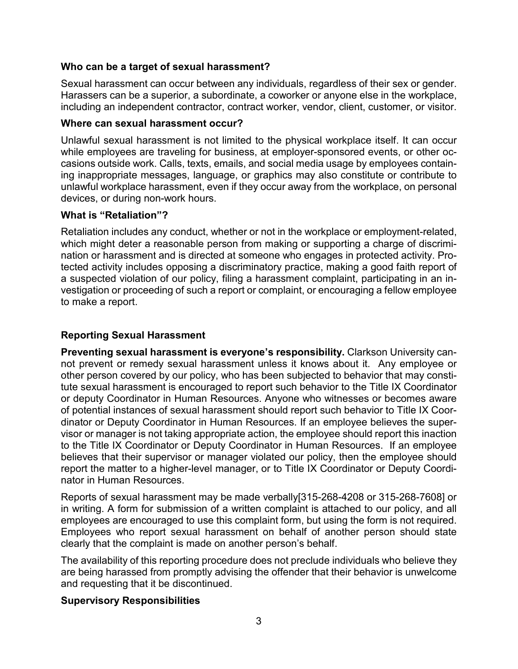### **Who can be a target of sexual harassment?**

Sexual harassment can occur between any individuals, regardless of their sex or gender. Harassers can be a superior, a subordinate, a coworker or anyone else in the workplace, including an independent contractor, contract worker, vendor, client, customer, or visitor.

### **Where can sexual harassment occur?**

Unlawful sexual harassment is not limited to the physical workplace itself. It can occur while employees are traveling for business, at employer-sponsored events, or other occasions outside work. Calls, texts, emails, and social media usage by employees containing inappropriate messages, language, or graphics may also constitute or contribute to unlawful workplace harassment, even if they occur away from the workplace, on personal devices, or during non-work hours.

### **What is "Retaliation"?**

Retaliation includes any conduct, whether or not in the workplace or employment-related, which might deter a reasonable person from making or supporting a charge of discrimination or harassment and is directed at someone who engages in protected activity. Protected activity includes opposing a discriminatory practice, making a good faith report of a suspected violation of our policy, filing a harassment complaint, participating in an investigation or proceeding of such a report or complaint, or encouraging a fellow employee to make a report.

## **Reporting Sexual Harassment**

**Preventing sexual harassment is everyone's responsibility.** Clarkson University cannot prevent or remedy sexual harassment unless it knows about it. Any employee or other person covered by our policy, who has been subjected to behavior that may constitute sexual harassment is encouraged to report such behavior to the Title IX Coordinator or deputy Coordinator in Human Resources. Anyone who witnesses or becomes aware of potential instances of sexual harassment should report such behavior to Title IX Coordinator or Deputy Coordinator in Human Resources. If an employee believes the supervisor or manager is not taking appropriate action, the employee should report this inaction to the Title IX Coordinator or Deputy Coordinator in Human Resources. If an employee believes that their supervisor or manager violated our policy, then the employee should report the matter to a higher-level manager, or to Title IX Coordinator or Deputy Coordinator in Human Resources.

Reports of sexual harassment may be made verbally[315-268-4208 or 315-268-7608] or in writing. A form for submission of a written complaint is attached to our policy, and all employees are encouraged to use this complaint form, but using the form is not required. Employees who report sexual harassment on behalf of another person should state clearly that the complaint is made on another person's behalf.

The availability of this reporting procedure does not preclude individuals who believe they are being harassed from promptly advising the offender that their behavior is unwelcome and requesting that it be discontinued.

### **Supervisory Responsibilities**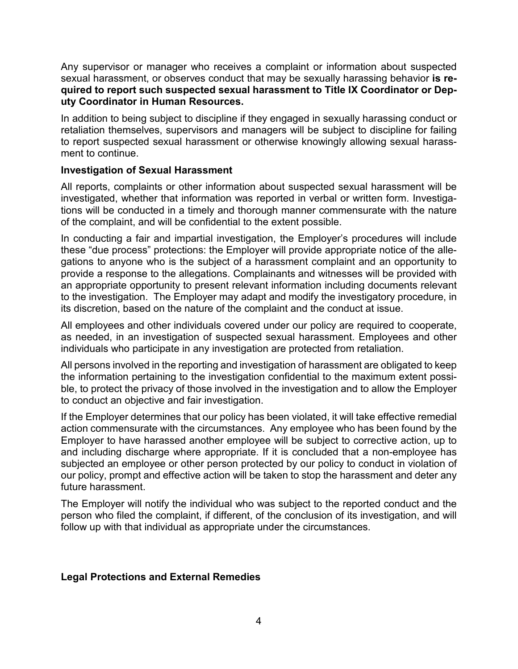Any supervisor or manager who receives a complaint or information about suspected sexual harassment, or observes conduct that may be sexually harassing behavior **is required to report such suspected sexual harassment to Title IX Coordinator or Deputy Coordinator in Human Resources.**

In addition to being subject to discipline if they engaged in sexually harassing conduct or retaliation themselves, supervisors and managers will be subject to discipline for failing to report suspected sexual harassment or otherwise knowingly allowing sexual harassment to continue.

### **Investigation of Sexual Harassment**

All reports, complaints or other information about suspected sexual harassment will be investigated, whether that information was reported in verbal or written form. Investigations will be conducted in a timely and thorough manner commensurate with the nature of the complaint, and will be confidential to the extent possible.

In conducting a fair and impartial investigation, the Employer's procedures will include these "due process" protections: the Employer will provide appropriate notice of the allegations to anyone who is the subject of a harassment complaint and an opportunity to provide a response to the allegations. Complainants and witnesses will be provided with an appropriate opportunity to present relevant information including documents relevant to the investigation. The Employer may adapt and modify the investigatory procedure, in its discretion, based on the nature of the complaint and the conduct at issue.

All employees and other individuals covered under our policy are required to cooperate, as needed, in an investigation of suspected sexual harassment. Employees and other individuals who participate in any investigation are protected from retaliation.

All persons involved in the reporting and investigation of harassment are obligated to keep the information pertaining to the investigation confidential to the maximum extent possible, to protect the privacy of those involved in the investigation and to allow the Employer to conduct an objective and fair investigation.

If the Employer determines that our policy has been violated, it will take effective remedial action commensurate with the circumstances. Any employee who has been found by the Employer to have harassed another employee will be subject to corrective action, up to and including discharge where appropriate. If it is concluded that a non-employee has subjected an employee or other person protected by our policy to conduct in violation of our policy, prompt and effective action will be taken to stop the harassment and deter any future harassment.

The Employer will notify the individual who was subject to the reported conduct and the person who filed the complaint, if different, of the conclusion of its investigation, and will follow up with that individual as appropriate under the circumstances.

### **Legal Protections and External Remedies**